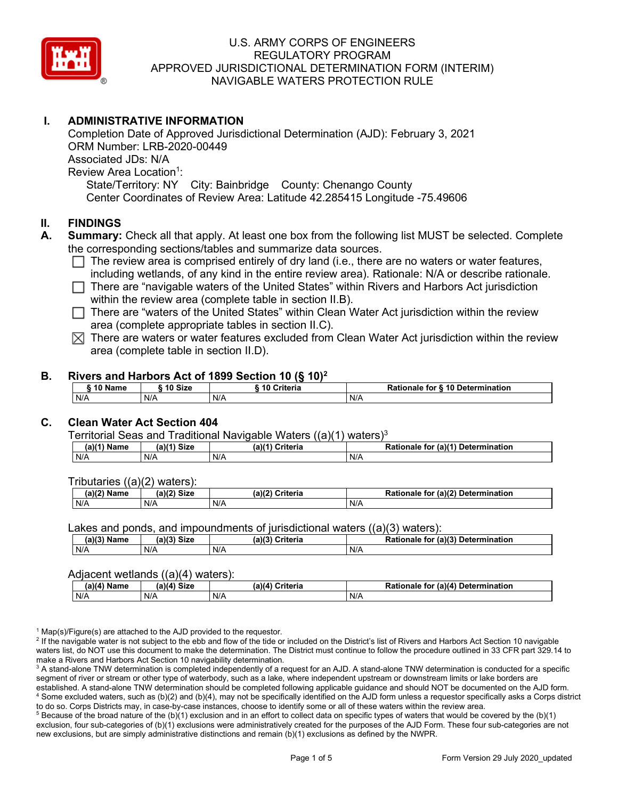

# **I. ADMINISTRATIVE INFORMATION**

Completion Date of Approved Jurisdictional Determination (AJD): February 3, 2021 ORM Number: LRB-2020-00449 Associated JDs: N/A Review Area Location<sup>1</sup>: State/Territory: NY City: Bainbridge County: Chenango County Center Coordinates of Review Area: Latitude 42.285415 Longitude -75.49606

### **II. FINDINGS**

- **A. Summary:** Check all that apply. At least one box from the following list MUST be selected. Complete the corresponding sections/tables and summarize data sources.
	- $\Box$  The review area is comprised entirely of dry land (i.e., there are no waters or water features, including wetlands, of any kind in the entire review area). Rationale: N/A or describe rationale.
	- $\Box$  There are "navigable waters of the United States" within Rivers and Harbors Act jurisdiction within the review area (complete table in section II.B).
	- $\Box$  There are "waters of the United States" within Clean Water Act jurisdiction within the review area (complete appropriate tables in section II.C).
	- $\boxtimes$  There are waters or water features excluded from Clean Water Act jurisdiction within the review area (complete table in section II.D).

### **B. Rivers and Harbors Act of 1899 Section 10 (§ 10)2**

|     | ົ 10 Name |     | ົ 10 Size | Criteria<br>. 1 U |     | Rationale for § 10 Determination |  |  |
|-----|-----------|-----|-----------|-------------------|-----|----------------------------------|--|--|
| N/A |           | N/A |           | N/A               | N/A |                                  |  |  |

# **C. Clean Water Act Section 404**

Territorial Seas and Traditional Navigable Waters  $((a)(1)$  waters)<sup>3</sup>

| $(a)(1)$ .<br>Name | $(a)$ $(4)$<br>Size | (a)<br>Criteria | (a)(1) Determination<br>Rationale<br>for |
|--------------------|---------------------|-----------------|------------------------------------------|
| N/A                | N/A                 | N/A             | N/A                                      |

Tributaries ((a)(2) waters):

| $1001$ $F_{\rm{H}}$<br>Name | $\sim$ 1/2<br>- 01-4<br>oizu | (a)(2)<br>Nuite aig<br>пе | $\mathcal{L}$<br>. Determination<br>TO |
|-----------------------------|------------------------------|---------------------------|----------------------------------------|
| N/A                         | N/A                          | .<br>N/A                  | N/A                                    |

Lakes and ponds, and impoundments of jurisdictional waters ((a)(3) waters):

| (a)(3) Name | $(a)(3)$ Size | (a)(2) | Criteria | De <sup>4</sup><br>tional<br>tor<br>naie | $\mu$ or (a) <sup>(2)</sup><br><b>Determination</b> |
|-------------|---------------|--------|----------|------------------------------------------|-----------------------------------------------------|
| N/A         | N/A           | N/A    |          | N/A                                      |                                                     |

#### Adjacent wetlands ((a)(4) waters):

| $(a)(4)$ Name | (a)(4) Size | .<br>(a)(4) Criteria | Rationale for (a)(4) Determination |
|---------------|-------------|----------------------|------------------------------------|
| N/A           | N/f         | N/A                  | N/A                                |

 $1$  Map(s)/Figure(s) are attached to the AJD provided to the requestor.

<sup>2</sup> If the navigable water is not subject to the ebb and flow of the tide or included on the District's list of Rivers and Harbors Act Section 10 navigable waters list, do NOT use this document to make the determination. The District must continue to follow the procedure outlined in 33 CFR part 329.14 to make a Rivers and Harbors Act Section 10 navigability determination.

<sup>3</sup> A stand-alone TNW determination is completed independently of a request for an AJD. A stand-alone TNW determination is conducted for a specific segment of river or stream or other type of waterbody, such as a lake, where independent upstream or downstream limits or lake borders are established. A stand-alone TNW determination should be completed following applicable guidance and should NOT be documented on the AJD form. <sup>4</sup> Some excluded waters, such as (b)(2) and (b)(4), may not be specifically identified on the AJD form unless a requestor specifically asks a Corps district to do so. Corps Districts may, in case-by-case instances, choose to identify some or all of these waters within the review area.

 $5$  Because of the broad nature of the (b)(1) exclusion and in an effort to collect data on specific types of waters that would be covered by the (b)(1) exclusion, four sub-categories of (b)(1) exclusions were administratively created for the purposes of the AJD Form. These four sub-categories are not new exclusions, but are simply administrative distinctions and remain (b)(1) exclusions as defined by the NWPR.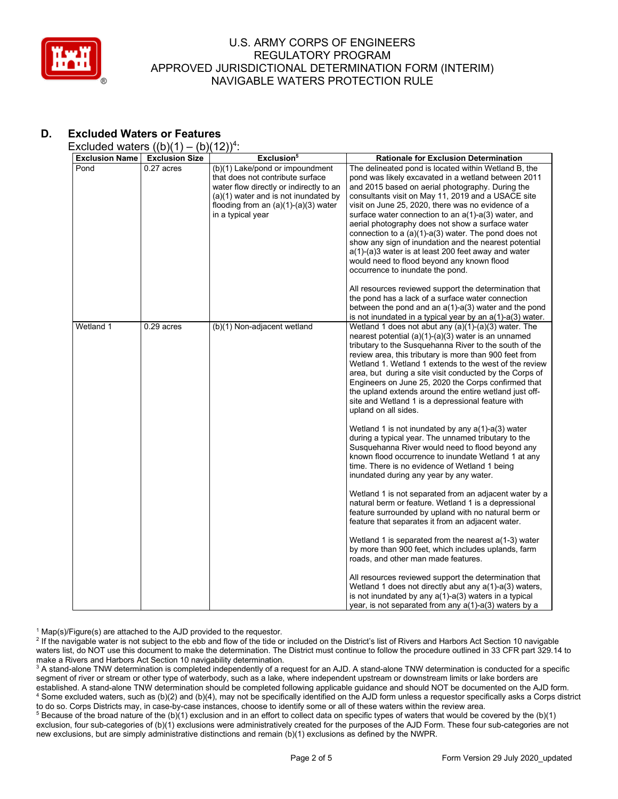

# **D. Excluded Waters or Features**

Excluded waters  $((b)(1) - (b)(12))^4$ :

| <b>Exclusion Name</b> | <b>Exclusion Size</b> | Exclusion <sup>5</sup>                                                                                                                                                                                                | <b>Rationale for Exclusion Determination</b>                                                                                                                                                                                                                                                                                                                                                                                                                                                                                                                                                                                                                                                                |
|-----------------------|-----------------------|-----------------------------------------------------------------------------------------------------------------------------------------------------------------------------------------------------------------------|-------------------------------------------------------------------------------------------------------------------------------------------------------------------------------------------------------------------------------------------------------------------------------------------------------------------------------------------------------------------------------------------------------------------------------------------------------------------------------------------------------------------------------------------------------------------------------------------------------------------------------------------------------------------------------------------------------------|
| Pond                  | $0.27$ acres          | (b)(1) Lake/pond or impoundment<br>that does not contribute surface<br>water flow directly or indirectly to an<br>(a)(1) water and is not inundated by<br>flooding from an $(a)(1)-(a)(3)$ water<br>in a typical year | The delineated pond is located within Wetland B, the<br>pond was likely excavated in a wetland between 2011<br>and 2015 based on aerial photography. During the<br>consultants visit on May 11, 2019 and a USACE site<br>visit on June 25, 2020, there was no evidence of a<br>surface water connection to an a(1)-a(3) water, and<br>aerial photography does not show a surface water<br>connection to a $(a)(1)-a(3)$ water. The pond does not<br>show any sign of inundation and the nearest potential<br>a(1)-(a)3 water is at least 200 feet away and water<br>would need to flood beyond any known flood<br>occurrence to inundate the pond.<br>All resources reviewed support the determination that |
|                       |                       |                                                                                                                                                                                                                       | the pond has a lack of a surface water connection<br>between the pond and an $a(1)$ - $a(3)$ water and the pond<br>is not inundated in a typical year by an $a(1)$ - $a(3)$ water.                                                                                                                                                                                                                                                                                                                                                                                                                                                                                                                          |
| Wetland 1             | $0.29$ acres          | (b)(1) Non-adjacent wetland                                                                                                                                                                                           | Wetland 1 does not abut any $(a)(1)-(a)(3)$ water. The<br>nearest potential $(a)(1)-(a)(3)$ water is an unnamed<br>tributary to the Susquehanna River to the south of the<br>review area, this tributary is more than 900 feet from<br>Wetland 1. Wetland 1 extends to the west of the review<br>area, but during a site visit conducted by the Corps of<br>Engineers on June 25, 2020 the Corps confirmed that<br>the upland extends around the entire wetland just off-<br>site and Wetland 1 is a depressional feature with<br>upland on all sides.                                                                                                                                                      |
|                       |                       |                                                                                                                                                                                                                       | Wetland 1 is not inundated by any $a(1)$ -a(3) water<br>during a typical year. The unnamed tributary to the<br>Susquehanna River would need to flood beyond any<br>known flood occurrence to inundate Wetland 1 at any<br>time. There is no evidence of Wetland 1 being<br>inundated during any year by any water.                                                                                                                                                                                                                                                                                                                                                                                          |
|                       |                       |                                                                                                                                                                                                                       | Wetland 1 is not separated from an adjacent water by a<br>natural berm or feature. Wetland 1 is a depressional<br>feature surrounded by upland with no natural berm or<br>feature that separates it from an adjacent water.                                                                                                                                                                                                                                                                                                                                                                                                                                                                                 |
|                       |                       |                                                                                                                                                                                                                       | Wetland 1 is separated from the nearest $a(1-3)$ water<br>by more than 900 feet, which includes uplands, farm<br>roads, and other man made features.                                                                                                                                                                                                                                                                                                                                                                                                                                                                                                                                                        |
|                       |                       |                                                                                                                                                                                                                       | All resources reviewed support the determination that<br>Wetland 1 does not directly abut any a(1)-a(3) waters,<br>is not inundated by any $a(1)$ - $a(3)$ waters in a typical<br>year, is not separated from any $a(1)$ -a(3) waters by a                                                                                                                                                                                                                                                                                                                                                                                                                                                                  |

 $1$  Map(s)/Figure(s) are attached to the AJD provided to the requestor.

<sup>2</sup> If the navigable water is not subject to the ebb and flow of the tide or included on the District's list of Rivers and Harbors Act Section 10 navigable waters list, do NOT use this document to make the determination. The District must continue to follow the procedure outlined in 33 CFR part 329.14 to make a Rivers and Harbors Act Section 10 navigability determination.

<sup>3</sup> A stand-alone TNW determination is completed independently of a request for an AJD. A stand-alone TNW determination is conducted for a specific segment of river or stream or other type of waterbody, such as a lake, where independent upstream or downstream limits or lake borders are established. A stand-alone TNW determination should be completed following applicable guidance and should NOT be documented on the AJD form. <sup>4</sup> Some excluded waters, such as (b)(2) and (b)(4), may not be specifically identified on the AJD form unless a requestor specifically asks a Corps district to do so. Corps Districts may, in case-by-case instances, choose to identify some or all of these waters within the review area.

<sup>5</sup> Because of the broad nature of the (b)(1) exclusion and in an effort to collect data on specific types of waters that would be covered by the (b)(1) exclusion, four sub-categories of (b)(1) exclusions were administratively created for the purposes of the AJD Form. These four sub-categories are not new exclusions, but are simply administrative distinctions and remain (b)(1) exclusions as defined by the NWPR.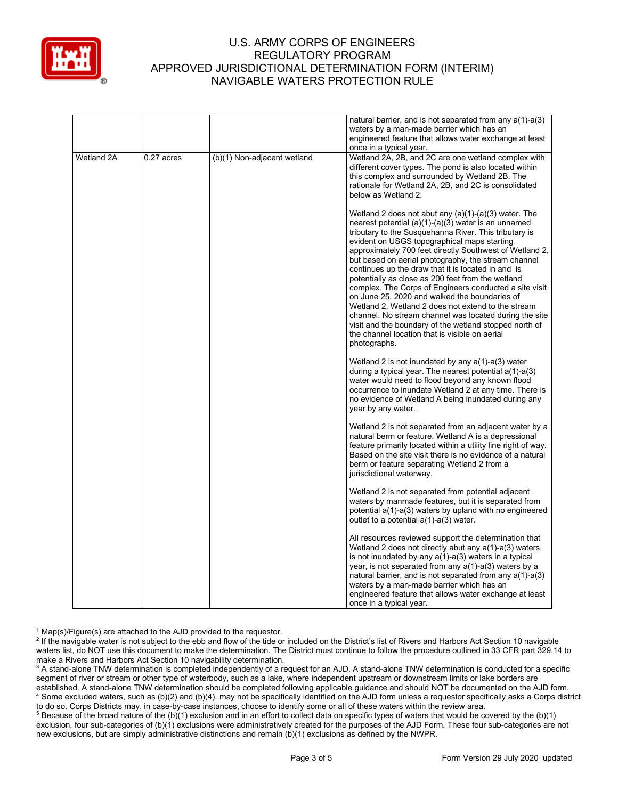

|            |            |                             | natural barrier, and is not separated from any a(1)-a(3)<br>waters by a man-made barrier which has an<br>engineered feature that allows water exchange at least<br>once in a typical year.                                                                                                                                                                                                                                                                                                                                                                                                                                                                                                                                                                                                                  |
|------------|------------|-----------------------------|-------------------------------------------------------------------------------------------------------------------------------------------------------------------------------------------------------------------------------------------------------------------------------------------------------------------------------------------------------------------------------------------------------------------------------------------------------------------------------------------------------------------------------------------------------------------------------------------------------------------------------------------------------------------------------------------------------------------------------------------------------------------------------------------------------------|
| Wetland 2A | 0.27 acres | (b)(1) Non-adjacent wetland | Wetland 2A, 2B, and 2C are one wetland complex with<br>different cover types. The pond is also located within<br>this complex and surrounded by Wetland 2B. The<br>rationale for Wetland 2A, 2B, and 2C is consolidated<br>below as Wetland 2.                                                                                                                                                                                                                                                                                                                                                                                                                                                                                                                                                              |
|            |            |                             | Wetland 2 does not abut any $(a)(1)-(a)(3)$ water. The<br>nearest potential $(a)(1)-(a)(3)$ water is an unnamed<br>tributary to the Susquehanna River. This tributary is<br>evident on USGS topographical maps starting<br>approximately 700 feet directly Southwest of Wetland 2,<br>but based on aerial photography, the stream channel<br>continues up the draw that it is located in and is<br>potentially as close as 200 feet from the wetland<br>complex. The Corps of Engineers conducted a site visit<br>on June 25, 2020 and walked the boundaries of<br>Wetland 2, Wetland 2 does not extend to the stream<br>channel. No stream channel was located during the site<br>visit and the boundary of the wetland stopped north of<br>the channel location that is visible on aerial<br>photographs. |
|            |            |                             | Wetland 2 is not inundated by any $a(1)$ -a(3) water<br>during a typical year. The nearest potential a(1)-a(3)<br>water would need to flood beyond any known flood<br>occurrence to inundate Wetland 2 at any time. There is<br>no evidence of Wetland A being inundated during any<br>year by any water.                                                                                                                                                                                                                                                                                                                                                                                                                                                                                                   |
|            |            |                             | Wetland 2 is not separated from an adjacent water by a<br>natural berm or feature. Wetland A is a depressional<br>feature primarily located within a utility line right of way.<br>Based on the site visit there is no evidence of a natural<br>berm or feature separating Wetland 2 from a<br>jurisdictional waterway.                                                                                                                                                                                                                                                                                                                                                                                                                                                                                     |
|            |            |                             | Wetland 2 is not separated from potential adjacent<br>waters by manmade features, but it is separated from<br>potential a(1)-a(3) waters by upland with no engineered<br>outlet to a potential $a(1)$ -a(3) water.                                                                                                                                                                                                                                                                                                                                                                                                                                                                                                                                                                                          |
|            |            |                             | All resources reviewed support the determination that<br>Wetland 2 does not directly abut any a(1)-a(3) waters,<br>is not inundated by any $a(1)$ - $a(3)$ waters in a typical<br>year, is not separated from any a(1)-a(3) waters by a<br>natural barrier, and is not separated from any $a(1)$ -a(3)<br>waters by a man-made barrier which has an<br>engineered feature that allows water exchange at least<br>once in a typical year.                                                                                                                                                                                                                                                                                                                                                                    |

 $1$  Map(s)/Figure(s) are attached to the AJD provided to the requestor.

<sup>2</sup> If the navigable water is not subject to the ebb and flow of the tide or included on the District's list of Rivers and Harbors Act Section 10 navigable waters list, do NOT use this document to make the determination. The District must continue to follow the procedure outlined in 33 CFR part 329.14 to make a Rivers and Harbors Act Section 10 navigability determination.

<sup>3</sup> A stand-alone TNW determination is completed independently of a request for an AJD. A stand-alone TNW determination is conducted for a specific segment of river or stream or other type of waterbody, such as a lake, where independent upstream or downstream limits or lake borders are established. A stand-alone TNW determination should be completed following applicable guidance and should NOT be documented on the AJD form. <sup>4</sup> Some excluded waters, such as (b)(2) and (b)(4), may not be specifically identified on the AJD form unless a requestor specifically asks a Corps district to do so. Corps Districts may, in case-by-case instances, choose to identify some or all of these waters within the review area.

<sup>5</sup> Because of the broad nature of the (b)(1) exclusion and in an effort to collect data on specific types of waters that would be covered by the (b)(1) exclusion, four sub-categories of (b)(1) exclusions were administratively created for the purposes of the AJD Form. These four sub-categories are not new exclusions, but are simply administrative distinctions and remain (b)(1) exclusions as defined by the NWPR.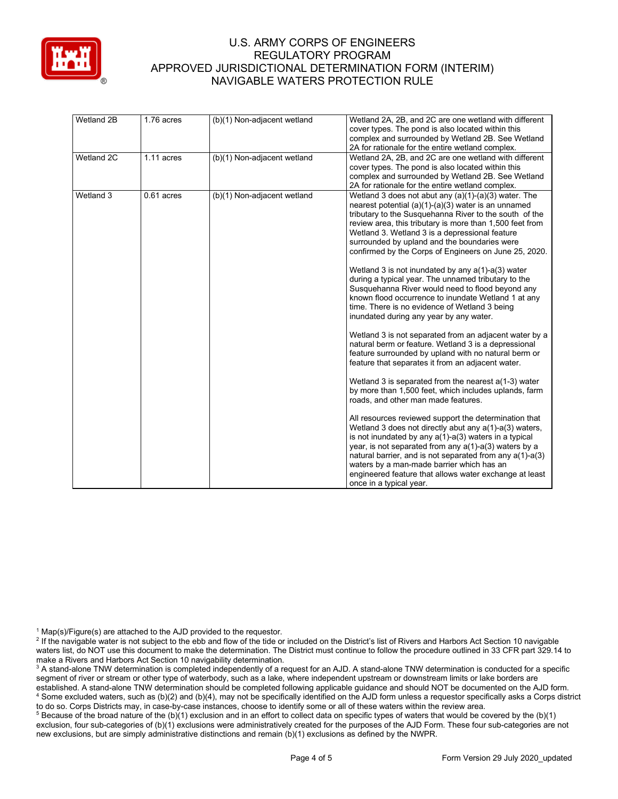

| Wetland 2B | 1.76 acres   | (b)(1) Non-adjacent wetland | Wetland 2A, 2B, and 2C are one wetland with different<br>cover types. The pond is also located within this<br>complex and surrounded by Wetland 2B. See Wetland                                                                                                                                                                                                                                                                                                                                                                                                                                                                                                                                                         |
|------------|--------------|-----------------------------|-------------------------------------------------------------------------------------------------------------------------------------------------------------------------------------------------------------------------------------------------------------------------------------------------------------------------------------------------------------------------------------------------------------------------------------------------------------------------------------------------------------------------------------------------------------------------------------------------------------------------------------------------------------------------------------------------------------------------|
| Wetland 2C | $1.11$ acres | (b)(1) Non-adjacent wetland | 2A for rationale for the entire wetland complex.<br>Wetland 2A, 2B, and 2C are one wetland with different<br>cover types. The pond is also located within this<br>complex and surrounded by Wetland 2B. See Wetland<br>2A for rationale for the entire wetland complex.                                                                                                                                                                                                                                                                                                                                                                                                                                                 |
| Wetland 3  | $0.61$ acres | (b)(1) Non-adjacent wetland | Wetland 3 does not abut any (a)(1)-(a)(3) water. The<br>nearest potential $(a)(1)-(a)(3)$ water is an unnamed<br>tributary to the Susquehanna River to the south of the<br>review area, this tributary is more than 1,500 feet from<br>Wetland 3. Wetland 3 is a depressional feature<br>surrounded by upland and the boundaries were<br>confirmed by the Corps of Engineers on June 25, 2020.<br>Wetland 3 is not inundated by any $a(1)$ - $a(3)$ water<br>during a typical year. The unnamed tributary to the<br>Susquehanna River would need to flood beyond any<br>known flood occurrence to inundate Wetland 1 at any<br>time. There is no evidence of Wetland 3 being<br>inundated during any year by any water. |
|            |              |                             | Wetland 3 is not separated from an adjacent water by a<br>natural berm or feature. Wetland 3 is a depressional<br>feature surrounded by upland with no natural berm or<br>feature that separates it from an adjacent water.                                                                                                                                                                                                                                                                                                                                                                                                                                                                                             |
|            |              |                             | Wetland 3 is separated from the nearest $a(1-3)$ water<br>by more than 1,500 feet, which includes uplands, farm<br>roads, and other man made features.                                                                                                                                                                                                                                                                                                                                                                                                                                                                                                                                                                  |
|            |              |                             | All resources reviewed support the determination that<br>Wetland 3 does not directly abut any $a(1)$ - $a(3)$ waters,<br>is not inundated by any $a(1)$ - $a(3)$ waters in a typical<br>year, is not separated from any $a(1)$ -a(3) waters by a<br>natural barrier, and is not separated from any a(1)-a(3)<br>waters by a man-made barrier which has an<br>engineered feature that allows water exchange at least<br>once in a typical year.                                                                                                                                                                                                                                                                          |

 $1$  Map(s)/Figure(s) are attached to the AJD provided to the requestor.

<sup>5</sup> Because of the broad nature of the (b)(1) exclusion and in an effort to collect data on specific types of waters that would be covered by the (b)(1) exclusion, four sub-categories of (b)(1) exclusions were administratively created for the purposes of the AJD Form. These four sub-categories are not new exclusions, but are simply administrative distinctions and remain (b)(1) exclusions as defined by the NWPR.

<sup>&</sup>lt;sup>2</sup> If the navigable water is not subject to the ebb and flow of the tide or included on the District's list of Rivers and Harbors Act Section 10 navigable waters list, do NOT use this document to make the determination. The District must continue to follow the procedure outlined in 33 CFR part 329.14 to make a Rivers and Harbors Act Section 10 navigability determination.

<sup>&</sup>lt;sup>3</sup> A stand-alone TNW determination is completed independently of a request for an AJD. A stand-alone TNW determination is conducted for a specific segment of river or stream or other type of waterbody, such as a lake, where independent upstream or downstream limits or lake borders are established. A stand-alone TNW determination should be completed following applicable guidance and should NOT be documented on the AJD form. <sup>4</sup> Some excluded waters, such as (b)(2) and (b)(4), may not be specifically identified on the AJD form unless a requestor specifically asks a Corps district to do so. Corps Districts may, in case-by-case instances, choose to identify some or all of these waters within the review area.